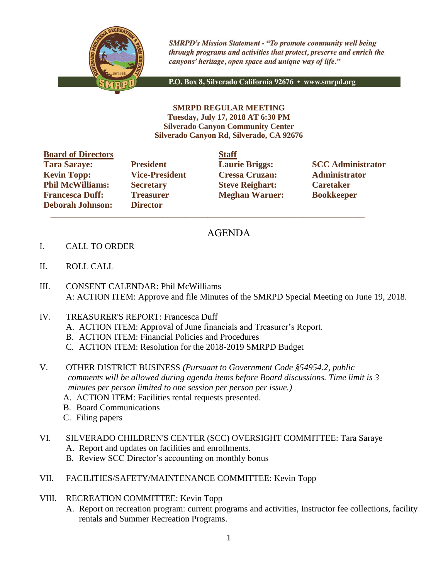

**SMRPD's Mission Statement - "To promote community well being** through programs and activities that protect, preserve and enrich the canyons' heritage, open space and unique way of life."

P.O. Box 8, Silverado California 92676 · www.smrpd.org

**SMRPD REGULAR MEETING Tuesday, July 17, 2018 AT 6:30 PM Silverado Canyon Community Center Silverado Canyon Rd, Silverado, CA 92676**

| <b>Board of Directors</b> |                       | <b>Staff</b> |
|---------------------------|-----------------------|--------------|
| <b>Tara Saraye:</b>       | <b>President</b>      | Laur         |
| <b>Kevin Topp:</b>        | <b>Vice-President</b> | <b>Cres</b>  |
| <b>Phil McWilliams:</b>   | <b>Secretary</b>      | <b>Steve</b> |
| <b>Francesca Duff:</b>    | <b>Treasurer</b>      | Megl         |
| <b>Deborah Johnson:</b>   | <b>Director</b>       |              |

**Director**  $\mathcal{L}_\text{max}$  , and the set of the set of the set of the set of the set of the set of the set of the set of the set of the set of the set of the set of the set of the set of the set of the set of the set of the set of the

**Kevin Topp: Vice-President Cressa Cruzan: Administrator Philo McGive Reighart: Philosopherene Caretaker Freasurer Meghan Warner: Bookkeeper** 

**Tarages: President Laurie Briggs: SCC Administrator** 

## AGENDA

- I. CALL TO ORDER
- II. ROLL CALL
- III. CONSENT CALENDAR: Phil McWilliams A: ACTION ITEM: Approve and file Minutes of the SMRPD Special Meeting on June 19, 2018.
- IV. TREASURER'S REPORT: Francesca Duff
	- A. ACTION ITEM: Approval of June financials and Treasurer's Report.
	- B. ACTION ITEM: Financial Policies and Procedures
	- C. ACTION ITEM: Resolution for the 2018-2019 SMRPD Budget
- V. OTHER DISTRICT BUSINESS *(Pursuant to Government Code §54954.2, public comments will be allowed during agenda items before Board discussions. Time limit is 3 minutes per person limited to one session per person per issue.)*
	- A. ACTION ITEM: Facilities rental requests presented.
	- B. Board Communications
	- C. Filing papers
- VI. SILVERADO CHILDREN'S CENTER (SCC) OVERSIGHT COMMITTEE: Tara Saraye
	- A. Report and updates on facilities and enrollments.
	- B. Review SCC Director's accounting on monthly bonus
- VII. FACILITIES/SAFETY/MAINTENANCE COMMITTEE: Kevin Topp
- VIII. RECREATION COMMITTEE: Kevin Topp
	- A. Report on recreation program: current programs and activities, Instructor fee collections, facility rentals and Summer Recreation Programs.